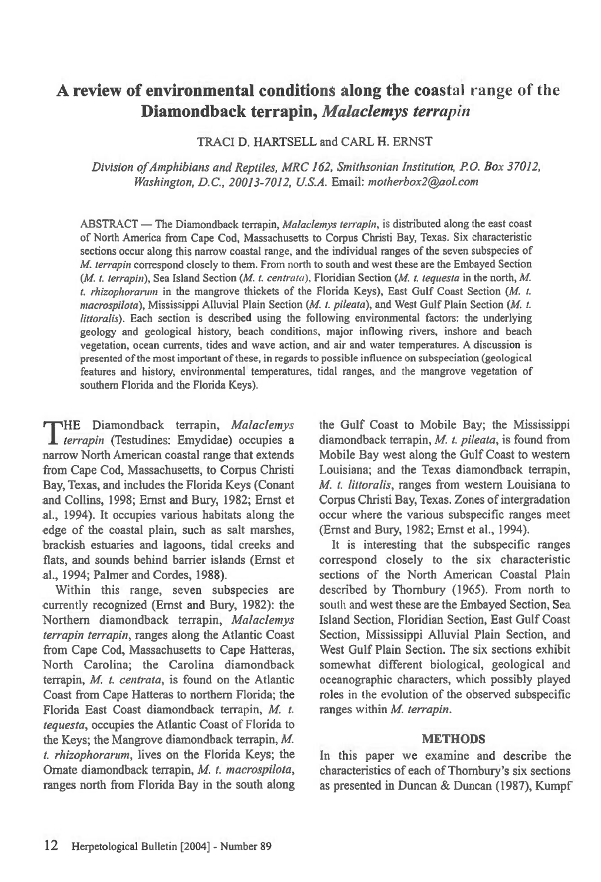# **A review of environmental conditions along the coastal range of the Diamondback terrapin,** *Malaclemys terrapin*

TRACI D. HARTSELL and CARL H. ERNST

*Division of Amphibians and Reptiles, MRC 162, Smithsonian Institution, P.O. Box 37012, Washington, D.C., 20013-7012, U.S.A. Email: motherbox2@aol.com* 

ABSTRACT — The Diamondback terrapin, *Malaclemys terrapin,* is distributed along the east coast of North America from Cape Cod, Massachusetts to Corpus Christi Bay, Texas. Six characteristic sections occur along this narrow coastal range, and the individual ranges of the seven subspecies of *M. terrapin* correspond closely to them. From north to south and west these are the Embayed Section *(M. t. terrapin),* Sea Island Section *(M. t. centrata),* Floridian Section *(M. t. tequesta in* the north, *M. t. rhizophorarum in* the mangrove thickets of the Florida Keys), East Gulf Coast Section *(M. t. macrospilota),* Mississippi Alluvial Plain Section *(M. t. pileata),* and West Gulf Plain Section *(M. t. littoralis).* Each section is described using the following environmental factors: the underlying geology and geological history, beach conditions, major inflowing rivers, inshore and beach vegetation, ocean currents, tides and wave action, and air and water temperatures. A discussion is presented of the most important of these, in regards to possible influence on subspeciation (geological features and history, environmental temperatures, tidal ranges, and the mangrove vegetation of southern Florida and the Florida Keys).

THE Diamondback terrapin, Malaclemys<br> *terrapin* (Testudines: Emydidae) occupies a HE Diamondback terrapin, *Malaclemys*  narrow North American coastal range that extends from Cape Cod, Massachusetts, to Corpus Christi Bay, Texas, and includes the Florida Keys (Conant and Collins, 1998; Ernst and Bury, 1982; Ernst et al., 1994). It occupies various habitats along the edge of the coastal plain, such as salt marshes, brackish estuaries and lagoons, tidal creeks and flats, and sounds behind barrier islands (Ernst et al., 1994; Palmer and Cordes, 1988).

Within this range, seven subspecies are currently recognized (Ernst and Bury, 1982): the Northern diamondback terrapin, *Malaclemys terrapin terrapin,* ranges along the Atlantic Coast from Cape Cod, Massachusetts to Cape Hatteras, North Carolina; the Carolina diamondback terrapin, *M. t. centrata,* is found on the Atlantic Coast from Cape Hatteras to northern Florida; the Florida East Coast diamondback terrapin, *M. t. tequesta,* occupies the Atlantic Coast of Florida to the Keys; the Mangrove diamondback terrapin, *M. t. rhizophorarum,* lives on the Florida Keys; the Ornate diamondback terrapin, *M. t. macrospilota,*  ranges north from Florida Bay in the south along the Gulf Coast to Mobile Bay; the Mississippi diamondback terrapin, *M. t. pileata,* is found from Mobile Bay west along the Gulf Coast to western Louisiana; and the Texas diamondback terrapin, *M. t. littoralis,* ranges from western Louisiana to Corpus Christi Bay, Texas. Zones of intergradation occur where the various subspecific ranges meet (Ernst and Bury, 1982; Ernst et al., 1994).

It is interesting that the subspecific ranges correspond closely to the six characteristic sections of the North American Coastal Plain described by Thornbury (1965). From north to south and west these are the Embayed Section, Sea Island Section, Floridian Section, East Gulf Coast Section, Mississippi Alluvial Plain Section, and West Gulf Plain Section. The six sections exhibit somewhat different biological, geological and oceanographic characters, which possibly played roles in the evolution of the observed subspecific ranges within *M. terrapin.* 

### **METHODS**

In this paper we examine and describe the characteristics of each of Thornbury's six sections as presented in Duncan & Duncan (1987), Kumpf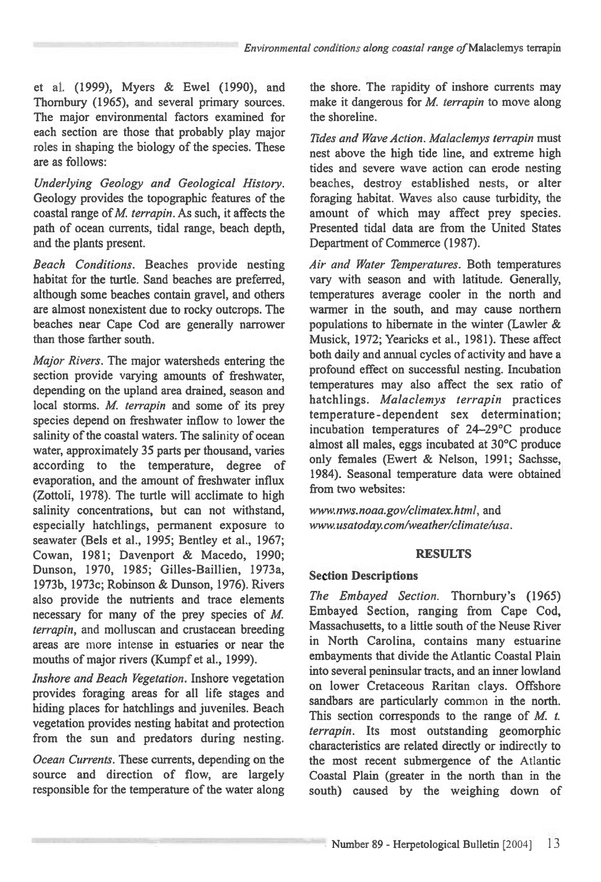et al. (1999), Myers & Ewel (1990), and Thornbury (1965), and several primary sources. The major environmental factors examined for each section are those that probably play major roles in shaping the biology of the species. These are as follows:

*Underlying Geology and Geological History.*  Geology provides the topographic features of the coastal range of *M. terrapin.* As such, it affects the path of ocean currents, tidal range, beach depth, and the plants present.

*Beach Conditions.* Beaches provide nesting habitat for the turtle. Sand beaches are preferred, although some beaches contain gravel, and others are almost nonexistent due to rocky outcrops. The beaches near Cape Cod are generally narrower than those farther south.

*Major Rivers.* The major watersheds entering the section provide varying amounts of freshwater, depending on the upland area drained, season and local storms. *M. terrapin* and some of its prey species depend on freshwater inflow to lower the salinity of the coastal waters. The salinity of ocean water, approximately 35 parts per thousand, varies according to the temperature, degree of evaporation, and the amount of freshwater influx (Zottoli, 1978). The turtle will acclimate to high salinity concentrations, but can not withstand, especially hatchlings, permanent exposure to seawater (Bels et al., 1995; Bentley et al., 1967; Cowan, 1981; Davenport & Macedo, 1990; Dunson, 1970, 1985; Gilles-Baillien, 1973a, 1973b, 1973c; Robinson & Dunson, 1976). Rivers also provide the nutrients and trace elements necessary for many of the prey species of *M*. *terrapin,* and molluscan and crustacean breeding areas are more intense in estuaries or near the mouths of major rivers (Kumpf et al., 1999).

*Inshore and Beach Vegetation.* Inshore vegetation provides foraging areas for all life stages and hiding places for hatchlings and juveniles. Beach vegetation provides nesting habitat and protection from the sun and predators during nesting.

*Ocean Currents.* These currents, depending on the source and direction of flow, are largely responsible for the temperature of the water along the shore. The rapidity of inshore currents may make it dangerous for *M. terrapin* to move along the shoreline.

*Tides and Wave Action. Malaclemys terrapin* must nest above the high tide line, and extreme high tides and severe wave action can erode nesting beaches, destroy established nests, or alter foraging habitat. Waves also cause turbidity, the amount of which may affect prey species. Presented tidal data are from the United States Department of Commerce (1987).

*Air and Water Temperatures.* Both temperatures vary with season and with latitude. Generally, temperatures average cooler in the north and warmer in the south, and may cause northern populations to hibernate in the winter (Lawler & Musick, 1972; Yearicks et al., 1981). These affect both daily and annual cycles of activity and have a profound effect on successful nesting. Incubation temperatures may also affect the sex ratio of hatchlings. *Malaclemys terrapin* practices temperature-dependent sex determination; incubation temperatures of 24-29°C produce almost all males, eggs incubated at 30°C produce only females (Ewert & Nelson, 1991; Sachsse, 1984). Seasonal temperature data were obtained from two websites:

*www.nws.noaa.gov/climatex.html,* and *www.usatoday.com/weather/climate/usa.* 

# **RESULTS**

# **Section Descriptions**

*The Embayed Section.* Thornbury's (1965) Embayed Section, ranging from Cape Cod, Massachusetts, to a little south of the Neuse River in North Carolina, contains many estuarine embayments that divide the Atlantic Coastal Plain into several peninsular tracts, and an inner lowland on lower Cretaceous Raritan clays. Offshore sandbars are particularly common in the north. This section corresponds to the range of *M. t. terrapin.* Its most outstanding geomorphic characteristics are related directly or indirectly to the most recent submergence of the Atlantic Coastal Plain (greater in the north than in the south) caused by the weighing down of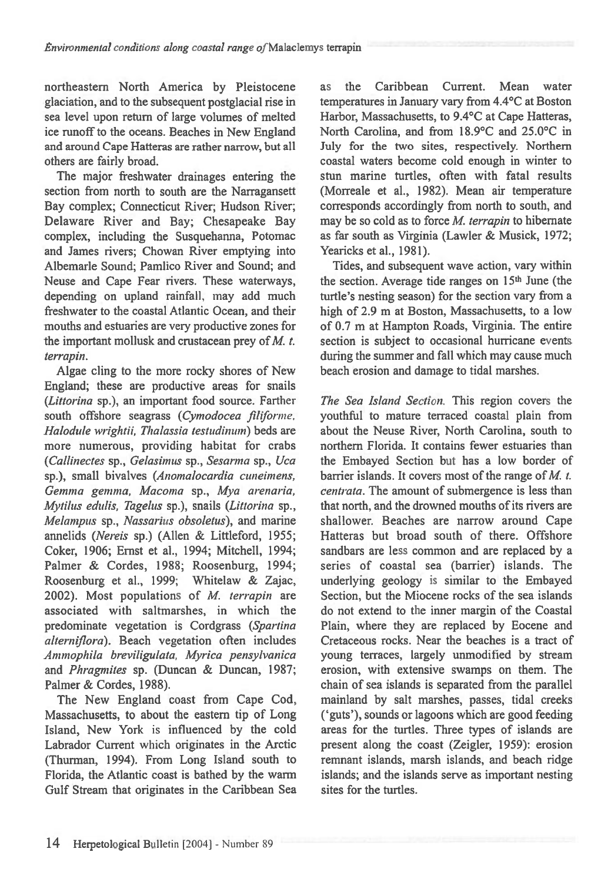northeastern North America by Pleistocene glaciation, and to the subsequent postglacial rise in sea level upon return of large volumes of melted ice runoff to the oceans. Beaches in New England and around Cape Hatteras are rather narrow, but all others are fairly broad.

The major freshwater drainages entering the section from north to south are the Narragansett Bay complex; Connecticut River; Hudson River; Delaware River and Bay; Chesapeake Bay complex, including the Susquehanna, Potomac and James rivers; Chowan River emptying into Albemarle Sound; Pamlico River and Sound; and Neuse and Cape Fear rivers. These waterways, depending on upland rainfall, may add much freshwater to the coastal Atlantic Ocean, and their mouths and estuaries are very productive zones for the important mollusk and crustacean prey of *M. t. terrapin.* 

Algae cling to the more rocky shores of New England; these are productive areas for snails *(Littorina* sp.), an important food source. Farther south offshore seagrass *(Cymodocea filiforme. Halodule wrightii, Thalassia testudinum)* beds are more numerous, providing habitat for crabs *(Callinectes* sp., *Gelasimus* sp., *Sesarma* sp., *Uca*  sp.), small bivalves *(Anomalocardia cuneimens, Gemma gemma, Macoma* sp., *Mya arenaria, Mytilus edulis, Tagelus* sp.), snails *(Littorina* sp., *Melanipus* sp., *Nassarius obsoletus),* and marine annelids *(Nereis* sp.) (Allen & Littleford, 1955; Coker, 1906; Ernst et al., 1994; Mitchell, 1994; Palmer & Cordes, 1988; Roosenburg, 1994; Roosenburg et al., 1999; Whitelaw & Zajac, 2002). Most populations of *M. terrapin* are associated with saltmarshes, in which the predominate vegetation is Cordgrass *(Spartina alterniflora).* Beach vegetation often includes *Ammophila breviligulata, Myrica pensylvanica*  and *Phragmites* sp. (Duncan & Duncan, 1987; Palmer & Cordes, 1988).

The New England coast from Cape Cod, Massachusetts, to about the eastern tip of Long Island, New York is influenced by the cold Labrador Current which originates in the Arctic (Thurman, 1994). From Long Island south to Florida, the Atlantic coast is bathed by the warm Gulf Stream that originates in the Caribbean Sea as the Caribbean Current. Mean water temperatures in January vary from 4.4°C at Boston Harbor, Massachusetts, to 9.4°C at Cape Hatteras, North Carolina, and from 18.9°C and 25.0°C in July for the two sites, respectively. Northern coastal waters become cold enough in winter to stun marine turtles, often with fatal results (Morreale et al., 1982). Mean air temperature corresponds accordingly from north to south, and may be so cold as to force *M. terrapin* to hibernate as far south as Virginia (Lawler & Musick, 1972; Yearicks et al., 1981).

Tides, and subsequent wave action, vary within the section. Average tide ranges on 15<sup>th</sup> June (the turtle's nesting season) for the section vary from a high of 2.9 m at Boston, Massachusetts, to a low of 0.7 m at Hampton Roads, Virginia. The entire section is subject to occasional hurricane events during the summer and fall which may cause much beach erosion and damage to tidal marshes.

*The Sea Island Section.* This region covers the youthful to mature terraced coastal plain from about the Neuse River, North Carolina, south to northern Florida. It contains fewer estuaries than the Embayed Section but has a low border of barrier islands. It covers most of the range of *M. t. centrata.* The amount of submergence is less than that north, and the drowned mouths of its rivers are shallower. Beaches are narrow around Cape Hatteras but broad south of there. Offshore sandbars are less common and are replaced by a series of coastal sea (barrier) islands. The underlying geology is similar to the Embayed Section, but the Miocene rocks of the sea islands do not extend to the inner margin of the Coastal Plain, where they are replaced by Eocene and Cretaceous rocks. Near the beaches is a tract of young terraces, largely unmodified by stream erosion, with extensive swamps on them. The chain of sea islands is separated from the parallel mainland by salt marshes, passes, tidal creeks (`guts'), sounds or lagoons which are good feeding areas for the turtles. Three types of islands are present along the coast (Zeigler, 1959): erosion remnant islands, marsh islands, and beach ridge islands; and the islands serve as important nesting sites for the turtles.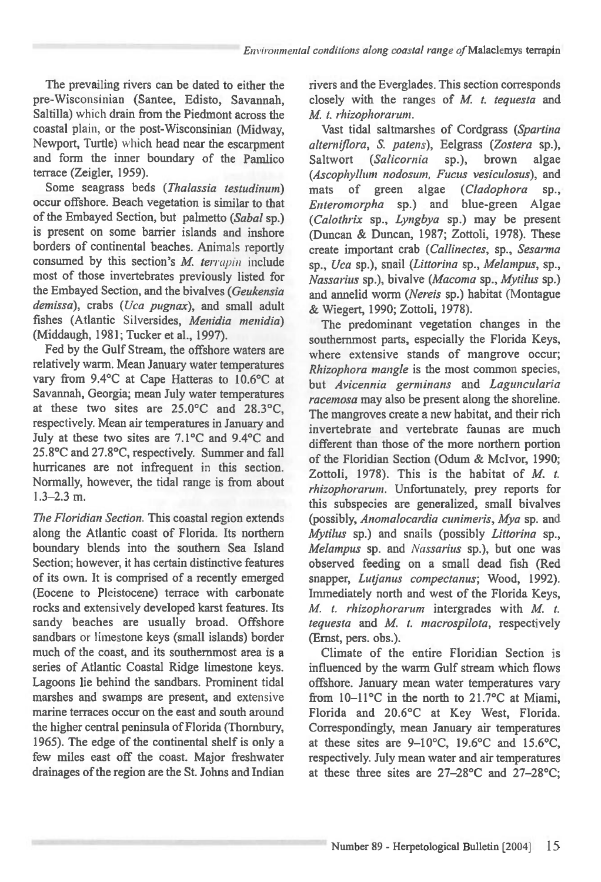*Environmental conditions along coastal range ofMalaclemys* terrapin

The prevailing rivers can be dated to either the pre-Wisconsinian (Santee, Edisto, Savannah, Saltilla) which drain from the Piedmont across the coastal plain, or the post-Wisconsinian (Midway, Newport, Turtle) which head near the escarpment and form the inner boundary of the Pamlico terrace (Zeigler, 1959).

Some seagrass beds *(Thalassia testudinum)*  occur offshore. Beach vegetation is similar to that of the Embayed Section, but palmetto *(Sabal* sp.) is present on some barrier islands and inshore borders of continental beaches. Animals reportly consumed by this section's *M. terrapin* include most of those invertebrates previously listed for the Embayed Section, and the bivalves *(Geukensia demissa),* crabs *(Uca pugnax),* and small adult fishes (Atlantic Silversides, *Menidia menidia)*  (Middaugh, 1981; Tucker et al., 1997).

Fed by the Gulf Stream, the offshore waters are relatively warm. Mean January water temperatures vary from 9.4°C at Cape Hatteras to 10.6°C at Savannah, Georgia; mean July water temperatures at these two sites are 25.0°C and 28.3°C, respectively. Mean air temperatures in January and July at these two sites are 7.1°C and 9.4°C and 25.8°C and 27.8°C, respectively. Summer and fall hurricanes are not infrequent in this section. Normally, however, the tidal range is from about 1.3-2.3 m.

*The Floridian Section.* This coastal region extends along the Atlantic coast of Florida. Its northern boundary blends into the southern Sea Island Section; however, it has certain distinctive features of its own. It is comprised of a recently emerged (Eocene to Pleistocene) terrace with carbonate rocks and extensively developed karst features. Its sandy beaches are usually broad. Offshore sandbars or limestone keys (small islands) border much of the coast, and its southernmost area is a series of Atlantic Coastal Ridge limestone keys. Lagoons lie behind the sandbars. Prominent tidal marshes and swamps are present, and extensive marine terraces occur on the east and south around the higher central peninsula of Florida (Thombury, 1965). The edge of the continental shelf is only a few miles east off the coast. Major freshwater drainages of the region are the St. Johns and Indian rivers and the Everglades. This section corresponds closely with the ranges of *M. t. tequesta* and *M. t. rhizophorarum.* 

Vast tidal saltmarshes of Cordgrass *(Spartina alterniflora, S. patens),* Eelgrass *(Zostera* sp.), Saltwort *(Salicornia* sp.), brown algae *(Ascophylhtm nodosum, Fucus vesiculosus),* and mats of green algae *(Cladophora* sp., *Enteromotpha* sp.) and blue-green Algae *(Calothrix* sp., *Lyngbya* sp.) may be present (Duncan & Duncan, 1987; Zottoli, 1978). These create important crab *(Callinectes,* sp., *Sesarma*  sp., *Uca* sp.), snail *(Littorina* sp., *Melampus,* sp., *Nassarius* sp.), bivalve *(Macoma* sp., *Mytilus* sp.) and annelid worm *(Nereis* sp.) habitat (Montague & Wiegert, 1990; Zottoli, 1978).

The predominant vegetation changes in the southernmost parts, especially the Florida Keys, where extensive stands of mangrove occur; *Rhizophora mangle is* the most common species, but *Avicennia germinans* and *Laguncularia racemosa* may also be present along the shoreline. The mangroves create a new habitat, and their rich invertebrate and vertebrate faunas are much different than those of the more northern portion of the Floridian Section (Odum & Mclvor, 1990; Zottoli, 1978). This is the habitat of *M. 1. rhizophorarum.* Unfortunately, prey reports for this subspecies are generalized, small bivalves *(possibly, Anomalocardia cunimeris, Mya* sp. and *Mytilus* sp.) and snails (possibly *Littorina* sp., *Melampus* sp. and *Nassarius* sp.), but one was observed feeding on a small dead fish (Red snapper, *Lutfanus compectanus;* Wood, 1992). Immediately north and west of the Florida Keys, *M. t. rhizophorarum* intergrades with *M. t. tequesta* and *M. t. macrospilota*, respectively (Ernst, pers. obs.).

Climate of the entire Floridian Section is influenced by the warm Gulf stream which flows offshore. January mean water temperatures vary from 10-11°C in the north to 21.7°C at Miami, Florida and 20.6°C at Key West, Florida. Correspondingly, mean January air temperatures at these sites are 9-10°C, 19.6°C and 15.6°C, respectively. July mean water and air temperatures at these three sites are 27-28°C and 27-28°C;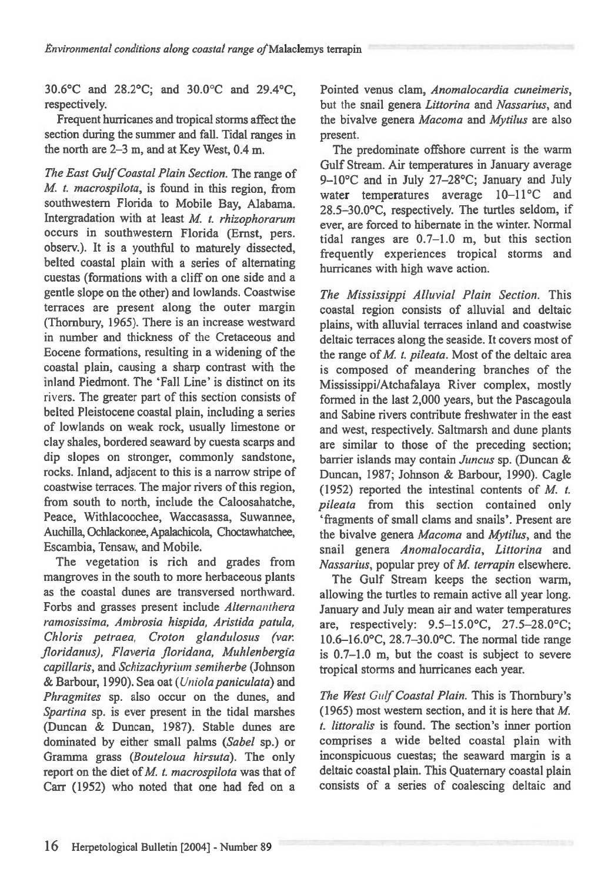30.6°C and 28.2°C; and 30.0°C and 29.4°C, respectively.

Frequent hurricanes and tropical storms affect the section during the summer and fall. Tidal ranges in the north are 2-3 m, and at Key West, 0.4 m.

*The East Gulf Coastal Plain Section.* The range of *M. t. macrospilota*, is found in this region, from southwestern Florida to Mobile Bay, Alabama. Intergradation with at least *M. t. rhizophorarum*  occurs in southwestern Florida (Ernst, pers. observ.). It is a youthful to maturely dissected, belted coastal plain with a series of alternating cuestas (formations with a cliff on one side and a gentle slope on the other) and lowlands. Coastwise terraces are present along the outer margin (Thornbury, 1965). There is an increase westward in number and thickness of the Cretaceous and Eocene formations, resulting in a widening of the coastal plain, causing a sharp contrast with the inland Piedmont. The 'Fall Line' is distinct on its rivers. The greater part of this section consists of belted Pleistocene coastal plain, including a series of lowlands on weak rock, usually limestone or clay shales, bordered seaward by cuesta scarps and dip slopes on stronger, commonly sandstone, rocks. Inland, adjacent to this is a narrow stripe of coastwise terraces. The major rivers of this region, from south to north, include the Caloosahatche, Peace, Withlacoochee, Waccasassa, Suwannee, Auchilla, Ochlackonee, Apalachicola, Choctawhatchee, Escambia, Tensaw, and Mobile.

The vegetation is rich and grades from mangroves in the south to more herbaceous plants as the coastal dunes are transversed northward. Forbs and grasses present include *Alternanthera ramosissima, Ambrosia hispida, Aristida patula,*  Chloris petraea, Croton glandulosus (var. *floridanus), Flaveria floridana, Muhlenbergia capillaris,* and *Schizachyrium semiherbe* (Johnson & Barbour, 1990). Sea oat *(Uniola paniculata)* and *Phragmites* sp. also occur on the dunes, and *Spartina* sp. is ever present in the tidal marshes (Duncan & Duncan, 1987). Stable dunes are dominated by either small palms *(Sabel* sp.) or Gramma *grass (Bouteloua hirsuta).* The only report on the diet of *M. t. macrospilota* was that of Carr (1952) who noted that one had fed on a

Pointed venus clam, *Anomalocardia cuneimeris,*  but the snail genera *Littorina* and *Nassarius,* and the bivalve genera *Macoma* and *Mytilus are* also present.

The predominate offshore current is the warm Gulf Stream. Air temperatures in January average 9-10°C and in July 27-28°C; January and July water temperatures average 10-11°C and 28.5-30.0°C, respectively. The turtles seldom, if ever, are forced to hibernate in the winter. Normal tidal ranges are 0.7-1.0 m, but this section frequently experiences tropical storms and hurricanes with high wave action.

*The Mississippi Alluvial Plain Section.* This coastal region consists of alluvial and deltaic plains, with alluvial terraces inland and coastwise deltaic terraces along the seaside. It covers most of the range of *M. t. pileata*. Most of the deltaic area is composed of meandering branches of the Mississippi/Atchafalaya River complex, mostly formed in the last 2,000 years, but the Pascagoula and Sabine rivers contribute freshwater in the east and west, respectively. Saltmarsh and dune plants are similar to those of the preceding section; barrier islands may contain *Juncus* sp. (Duncan & Duncan, 1987; Johnson & Barbour, 1990). Cagle (1952) reported the intestinal contents of *M. t. pileata* from this section contained only `fragments of small clams and snails'. Present are the bivalve genera *Macoma* and *Mytilus,* and the snail genera *Anomalocardia, Littorina* and *Nassarius,* popular prey of *M. terrapin* elsewhere.

The Gulf Stream keeps the section warm, allowing the turtles to remain active all year long. January and July mean air and water temperatures are, respectively: 9.5-15.0°C, 27.5-28.0°C; 10.6-16.0°C, 28.7-30.0°C. The normal tide range is 0.7-1.0 m, but the coast is subject to severe tropical storms and hurricanes each year.

*The West Gulf Coastal Plain.* This is Thombury's (1965) most western section, and it is here that *M. t. littoralis* is found. The section's inner portion comprises a wide belted coastal plain with inconspicuous cuestas; the seaward margin is a deltaic coastal plain. This Quaternary coastal plain consists of a series of coalescing deltaic and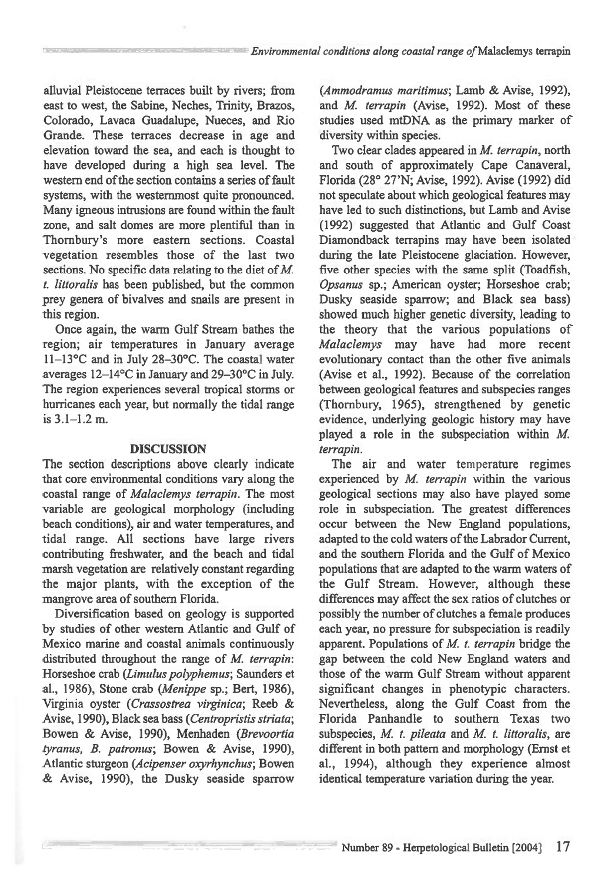*Envirommental conditions along coastal range of* Malaclemys terrapin

alluvial Pleistocene terraces built by rivers; from east to west, the Sabine, Neches, Trinity, Brazos, Colorado, Lavaca Guadalupe, Nueces, and Rio Grande. These terraces decrease in age and elevation toward the sea, and each is thought to have developed during a high sea level. The western end of the section contains a series of fault systems, with the westernmost quite pronounced. Many igneous intrusions are found within the fault zone, and salt domes are more plentiful than in Thornbury's more eastern sections. Coastal vegetation resembles those of the last two sections. No specific data relating to the diet of *M. t. littoralis* has been published, but the common prey genera of bivalves and snails are present in this region.

Once again, the warm Gulf Stream bathes the region; air temperatures in January average 11-13°C and in July 28-30°C. The coastal water averages 12-14°C in January and 29-30°C in July. The region experiences several tropical storms or hurricanes each year, but normally the tidal range is 3.1-1.2 m.

#### DISCUSSION

The section descriptions above clearly indicate that core environmental conditions vary along the coastal range of *Malaclemys terrapin.* The most variable are geological morphology (including beach conditions), air and water temperatures, and tidal range. All sections have large rivers contributing freshwater, and the beach and tidal marsh vegetation are relatively constant regarding the major plants, with the exception of the mangrove area of southern Florida.

Diversification based on geology is supported by studies of other western Atlantic and Gulf of Mexico marine and coastal animals continuously distributed throughout the range of *M. terrapin:*  Horseshoe crab *(Litnulus polyphemus;* Saunders et al., 1986), Stone crab *(Menippe* sp.; Bert, 1986), Virginia oyster *(Crassostrea virginica;* Reeb & Avise, 1990), Black sea bass *(Centropristis striata;*  Bowen & Avise, 1990), Menhaden *(Brevoortia tyranus, B. patronus;* Bowen & Avise, 1990), Atlantic sturgeon *(Acipenser oxyrhynchus;* Bowen & Avise, 1990), the Dusky seaside sparrow *(Ammodramus maritimus;* Lamb & Avise, 1992), and *M. terrapin* (Avise, 1992). Most of these studies used mtDNA as the primary marker of diversity within species.

Two clear clades appeared in *M. terrapin,* north and south of approximately Cape Canaveral, Florida (28° 27'N; Avise, 1992). Avise (1992) did not speculate about which geological features may have led to such distinctions, but Lamb and Avise (1992) suggested that Atlantic and Gulf Coast Diamondback terrapins may have been isolated during the late Pleistocene glaciation. However, five other species with the same split (Toadfish, *Opsanus* sp.; American oyster; Horseshoe crab; Dusky seaside sparrow; and Black sea bass) showed much higher genetic diversity, leading to the theory that the various populations of *Malaclemys* may have had more recent evolutionary contact than the other five animals (Avise et al., 1992). Because of the correlation between geological features and subspecies ranges (Thornbury, 1965), strengthened by genetic evidence, underlying geologic history may have played a role in the subspeciation within *M. terrapin.* 

The air and water temperature regimes experienced by *M. terrapin* within the various geological sections may also have played some role in subspeciation. The greatest differences occur between the New England populations, adapted to the cold waters of the Labrador Current, and the southern Florida and the Gulf of Mexico populations that are adapted to the warm waters of the Gulf Stream. However, although these differences may affect the sex ratios of clutches or possibly the number of clutches a female produces each year, no pressure for subspeciation is readily apparent. Populations of *M. t. terrapin* bridge the gap between the cold New England waters and those of the warm Gulf Stream without apparent significant changes in phenotypic characters. Nevertheless, along the Gulf Coast from the Florida Panhandle to southern Texas two subspecies, *M. t. pileata* and *M. t. littoralis, are*  different in both pattern and morphology (Ernst et al., 1994), although they experience almost identical temperature variation during the year.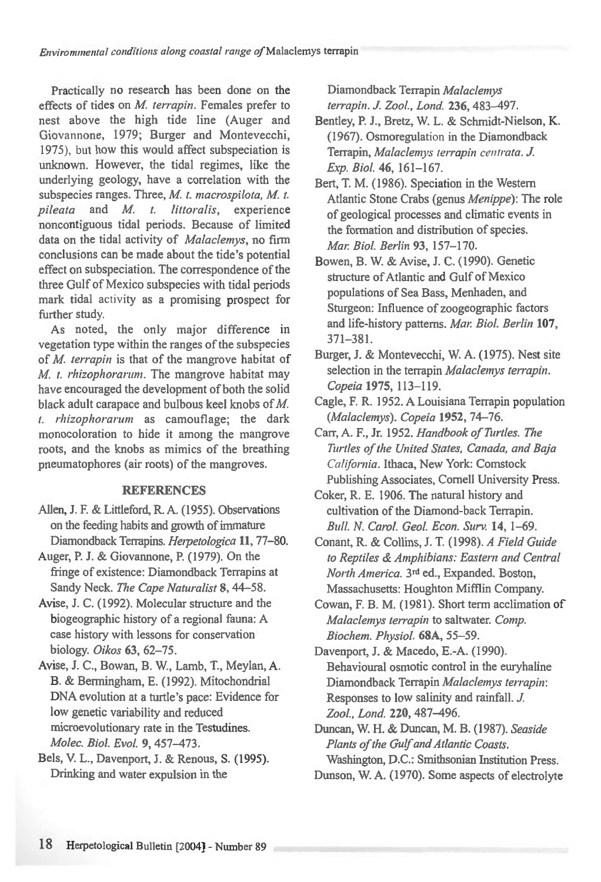Practically no research has been done on the effects of tides on *M. terrapin*. Females prefer to nest above the high tide line (Auger and Giovannone, 1979; Burger and Montevecchi, 1975), but how this would affect subspeciation is unknown. However, the tidal regimes, like the underlying geology, have a correlation with the subspecies ranges. Three, *M. t. macrospilota, M. t. pileata* and *M. t. littoralis,* experience noncontiguous tidal periods. Because of limited data on the tidal activity of *Malaclemys,* no firm conclusions can be made about the tide's potential effect on subspeciation. The correspondence of the three Gulf of Mexico subspecies with tidal periods mark tidal activity as a promising prospect for further study.

As noted, the only major difference in vegetation type within the ranges of the subspecies of *M. terrapin* is that of the mangrove habitat of *M. t. rhizophorarum.* The mangrove habitat may have encouraged the development of both the solid black adult carapace and bulbous keel knobs of M. *t. rhizophorarum* as camouflage; the dark monocoloration to hide it among the mangrove roots, and the knobs as mimics of the breathing pneumatophores (air roots) of the mangroves.

### REFERENCES

- Allen, J. F. & Littleford, R. A. (1955). Observations on the feeding habits and growth of immature Diamondback Terrapins. *Herpetologica* 11, 77-80.
- Auger, P. J. & Giovannone, P. (1979). On the fringe of existence: Diamondback Terrapins at Sandy Neck. The Cape Naturalist 8, 44-58.
- Avise, J. C. (1992). Molecular structure and the biogeographic history of a regional fauna: A case history with lessons for conservation biology. *Oikos* 63,62-75.
- Avise, J. C., Bowan, B. W., Lamb, T., Meylan, A. B. & Bermingham, E. (1992). Mitochondrial DNA evolution at a turtle's pace: Evidence for low genetic variability and reduced microevolutionary rate in the Testudines. *Molec. Biol. EvoL* 9,457-473.
- Bels, V. L., Davenport, J. & Renous, S. (1995). Drinking and water expulsion in the

Diamondback Terrapin *Malaclemys terrapin. J. Zool., Lond.* 236,483-497.

- Bentley, P. J., Bretz, W. L. & Schmidt-Nielson, K. (1967). Osmoregulation in the Diamondback Terrapin, *Malaclemys terrapin centrata. J. Exp. BioL* 46, 161-167.
- Bert, T. M. (1986). Speciation in the Western Atlantic Stone Crabs (genus *Menippe):* The role of geological processes and climatic events in the formation and distribution of species. *Mar. Biol. Berlin* 93, 157-170.
- Bowen, B. W. & Avise, J. C. (1990). Genetic structure of Atlantic and Gulf of Mexico populations of Sea Bass, Menhaden, and Sturgeon: Influence of zoogeographic factors and life-history patterns. *Mar BioL Berlin* 107, 371-381.
- Burger, J. & Montevecchi, W. A. (1975). Nest site selection in the terrapin *Malaclemys terrapin. Copeia* 1975, 113-119.
- Cagle, F. R. 1952. A Louisiana Terrapin population *(Malaclemys). Copeia* 1952, 74-76.
- Carr, A. F., Jr. 1952. *Handbook of Turtles. The Turtles of the United States, Canada, and Baja California.* Ithaca, New York: Comstock Publishing Associates, Cornell University Press.
- Coker, R. E. 1906. The natural history and cultivation of the Diamond-back Terrapin. Bull. N. *Cam!. Geol. Econ. Surv.* 14, 1-69.
- Conant, R. & Collins, J. T. (1998). *A Field Guide to Reptiles & Amphibians: Eastern and Central North America.* 3rd ed., Expanded. Boston, Massachusetts: Houghton Mifflin Company.
- Cowan, F. B. M. (1981). Short term acclimation of *Malaclemys terrapin* to saltwater. *Comp. Biochem. Physiol.* 68A, 55-59.

Davenport, J. & Macedo, E.-A. (1990). Behavioural osmotic control in the euryhaline Diamondback Terrapin *Malaclemys terrapin:*  Responses to low salinity and rainfall. *J. Zool., Lond.* 220, 487-496.

Duncan, W. H. & Duncan, M. B. (1987). *Seaside Plants of the Gulf and Atlantic Coasts.*  Washington, D.C.: Smithsonian Institution Press.

Dunson, W. A. (1970). Some aspects of electrolyte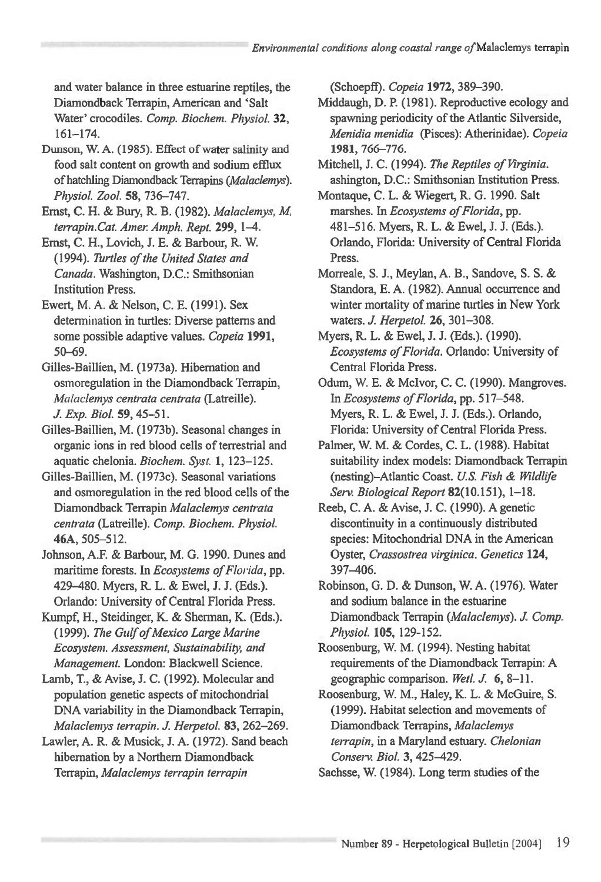and water balance in three estuarine reptiles, the Diamondback Terrapin, American and 'Salt Water' crocodiles. *Comp. Biochem. Physiol.* **32,**  161-174.

- Dunson, W. A. (1985). Effect of water salinity and food salt content on growth and sodium efflux of hatchling Diamondback Terrapins *(Malaclemys). Physic!. Zoo!.* **58,** 736-747.
- Ernst, C. H. & Bury, R. B. (1982). *Malaclemys, M terrapin.Cat. Amer. Amph. Rept.* **299,** 1-4.
- Ernst, C. H., Lovich, J. E. & Barbour, R. W. (1994). *Turtles of the United States and Canada.* Washington, D.C.: Smithsonian Institution Press.
- Ewert, M. A. & Nelson, C. E. (1991). Sex determination in turtles: Diverse patterns and some possible adaptive values. *Copeia* **1991,**  50-69.
- Gilles-Baillien, M. (1973a). Hibernation and osmoregulation in the Diamondback Terrapin, *Malaclemys centrata centrata* (Latreille). *J. Exp. Biol.* **59,** 45-51.
- Gilles-Baillien, M. (1973b). Seasonal changes in organic ions in red blood cells of terrestrial and aquatic chelonia. *Biochem. Syst.* **1,** 123-125.
- Gilles-Baillien, M. (1973c). Seasonal variations and osmoregulation in the red blood cells of the Diamondback Terrapin *Malaclemys centrata centrata (Latreille). Comp. Biochem. Physiot*  **46A,** 505-512.
- Johnson, A.F. & Barbour, M. G. 1990. Dunes and maritime forests. In *Ecosystems of Florida,* pp. 429-480. Myers, R. L. & Ewel, J. J. (Eds.). Orlando: University of Central Florida Press.
- Kumpf, H., Steidinger, K. & Sherman, K. (Eds.). (1999). *The Gulf of Mexico Large Marine Ecosystem. Assessment, Sustainability, and Management.* London: Blackwell Science.
- Lamb, T., & Avise, J. C. (1992). Molecular and population genetic aspects of mitochondrial DNA variability in the Diamondback Terrapin, *Malaclemys terrapin. J. Herpetol.* **83,** 262-269.
- Lawler, A. R. & Musick, J. A. (1972). Sand beach hibernation by a Northern Diamondback Terrapin, *Malaclemys terrapin terrapin*

(Schoepff). *Copeia* **1972,** 389-390.

- Middaugh, D. P. (1981). Reproductive ecology and spawning periodicity of the Atlantic Silverside, *Menidia menidia* (Pisces): Atherinidae). *Copeia*  **1981,** 766-776.
- Mitchell, J. C. (1994). *The Reptiles of Virginia.*  ashington, D.C.: Smithsonian Institution Press.
- Montague, C. L. & Wiegert, R. G. 1990. Salt marshes. In *Ecosystems of Florida,* pp. 481-516. Myers, R. L. & Ewel, J. J. (Eds.). Orlando, Florida: University of Central Florida Press.
- Morreale, S. J., Meylan, A. B., Sandove, S. S. & Standora, E. A. (1982). Annual occurrence and winter mortality of marine turtles in New York waters. *J. Herpetol.* **26,** 301-308.
- Myers, R. L. & Ewel, J. J. (Eds.). (1990). *Ecosystems of Florida.* Orlando: University of Central Florida Press.
- Odum, W. E. & Mclvor, C. C. (1990). Mangroves. In *Ecosystems of Florida,* pp. 517-548. Myers, R. L. & Ewel, J. J. (Eds.). Orlando, Florida: University of Central Florida Press.
- Palmer, W. M. & Cordes, C. L. (1988). Habitat suitability index models: Diamondback Terrapin (nesting)-Atlantic Coast. *U.S. Fish & Wildlife Sery Biological Report* 82(10.151), 1-18.
- Reeb, C. A. & Avise, J. C. (1990). A genetic discontinuity in a continuously distributed species: Mitochondrial DNA in the American Oyster, *Crassostrea virginica. Genetics* **124,**  397-406.
- Robinson, G. D. & Dunson, W. A. (1976). Water and sodium balance in the estuarine Diamondback Terrapin *(Malaclemys). J. Comp. PhysioL* **105,** 129-152.
- Roosenburg, W. M. (1994). Nesting habitat requirements of the Diamondback Terrapin: A geographic comparison. *Wet!. J.* **6,** 8-11.
- Roosenburg, W. M., Haley, K. L. & McGuire, S. (1999). Habitat selection and movements of Diamondback Terrapins, *Malaclemys terrapin, in* a Maryland estuary. *Chelonian Conserv. Biol.* **3,** 425-429.
- Sachsse, W. (1984). Long term studies of the